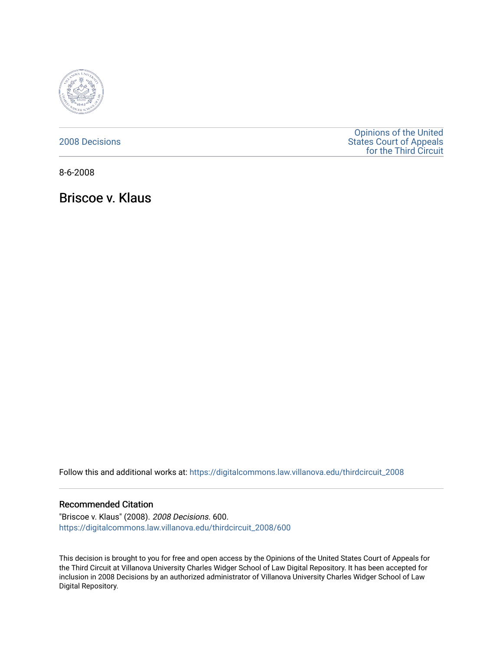

[2008 Decisions](https://digitalcommons.law.villanova.edu/thirdcircuit_2008)

[Opinions of the United](https://digitalcommons.law.villanova.edu/thirdcircuit)  [States Court of Appeals](https://digitalcommons.law.villanova.edu/thirdcircuit)  [for the Third Circuit](https://digitalcommons.law.villanova.edu/thirdcircuit) 

8-6-2008

Briscoe v. Klaus

Follow this and additional works at: [https://digitalcommons.law.villanova.edu/thirdcircuit\\_2008](https://digitalcommons.law.villanova.edu/thirdcircuit_2008?utm_source=digitalcommons.law.villanova.edu%2Fthirdcircuit_2008%2F600&utm_medium=PDF&utm_campaign=PDFCoverPages) 

#### Recommended Citation

"Briscoe v. Klaus" (2008). 2008 Decisions. 600. [https://digitalcommons.law.villanova.edu/thirdcircuit\\_2008/600](https://digitalcommons.law.villanova.edu/thirdcircuit_2008/600?utm_source=digitalcommons.law.villanova.edu%2Fthirdcircuit_2008%2F600&utm_medium=PDF&utm_campaign=PDFCoverPages)

This decision is brought to you for free and open access by the Opinions of the United States Court of Appeals for the Third Circuit at Villanova University Charles Widger School of Law Digital Repository. It has been accepted for inclusion in 2008 Decisions by an authorized administrator of Villanova University Charles Widger School of Law Digital Repository.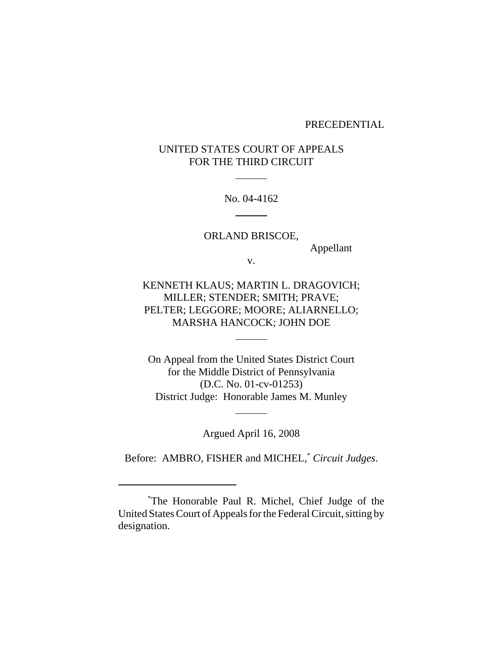### PRECEDENTIAL

# UNITED STATES COURT OF APPEALS FOR THE THIRD CIRCUIT

l

 $\overline{a}$ 

No. 04-4162

ORLAND BRISCOE, Appellant v.

KENNETH KLAUS; MARTIN L. DRAGOVICH; MILLER; STENDER; SMITH; PRAVE; PELTER; LEGGORE; MOORE; ALIARNELLO; MARSHA HANCOCK; JOHN DOE

l

l

On Appeal from the United States District Court for the Middle District of Pennsylvania (D.C. No. 01-cv-01253) District Judge: Honorable James M. Munley

Argued April 16, 2008

Before: AMBRO, FISHER and MICHEL,\* *Circuit Judges*.

<sup>\*</sup> The Honorable Paul R. Michel, Chief Judge of the United States Court of Appeals for the Federal Circuit, sitting by designation.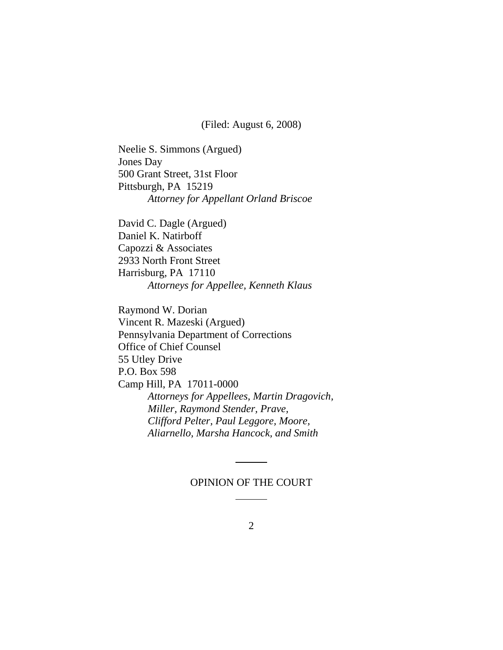(Filed: August 6, 2008)

Neelie S. Simmons (Argued) Jones Day 500 Grant Street, 31st Floor Pittsburgh, PA 15219 *Attorney for Appellant Orland Briscoe*

David C. Dagle (Argued) Daniel K. Natirboff Capozzi & Associates 2933 North Front Street Harrisburg, PA 17110 *Attorneys for Appellee, Kenneth Klaus*

Raymond W. Dorian Vincent R. Mazeski (Argued) Pennsylvania Department of Corrections Office of Chief Counsel 55 Utley Drive P.O. Box 598 Camp Hill, PA 17011-0000 *Attorneys for Appellees, Martin Dragovich, Miller, Raymond Stender, Prave, Clifford Pelter, Paul Leggore, Moore, Aliarnello, Marsha Hancock, and Smith*

### OPINION OF THE COURT

l

l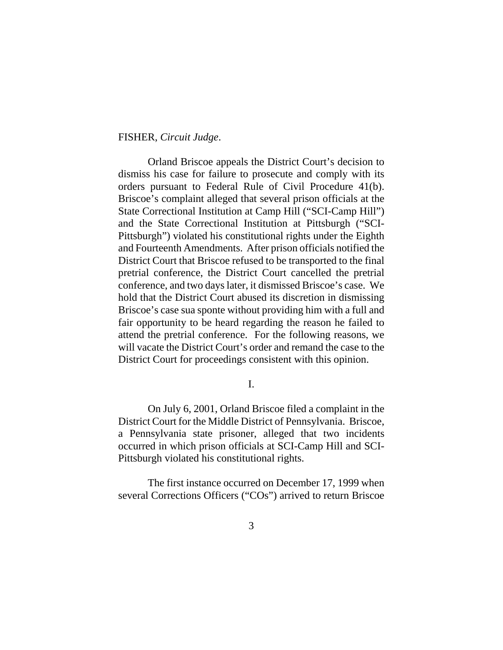### FISHER, *Circuit Judge*.

Orland Briscoe appeals the District Court's decision to dismiss his case for failure to prosecute and comply with its orders pursuant to Federal Rule of Civil Procedure 41(b). Briscoe's complaint alleged that several prison officials at the State Correctional Institution at Camp Hill ("SCI-Camp Hill") and the State Correctional Institution at Pittsburgh ("SCI-Pittsburgh") violated his constitutional rights under the Eighth and Fourteenth Amendments. After prison officials notified the District Court that Briscoe refused to be transported to the final pretrial conference, the District Court cancelled the pretrial conference, and two days later, it dismissed Briscoe's case. We hold that the District Court abused its discretion in dismissing Briscoe's case sua sponte without providing him with a full and fair opportunity to be heard regarding the reason he failed to attend the pretrial conference. For the following reasons, we will vacate the District Court's order and remand the case to the District Court for proceedings consistent with this opinion.

I.

On July 6, 2001, Orland Briscoe filed a complaint in the District Court for the Middle District of Pennsylvania. Briscoe, a Pennsylvania state prisoner, alleged that two incidents occurred in which prison officials at SCI-Camp Hill and SCI-Pittsburgh violated his constitutional rights.

The first instance occurred on December 17, 1999 when several Corrections Officers ("COs") arrived to return Briscoe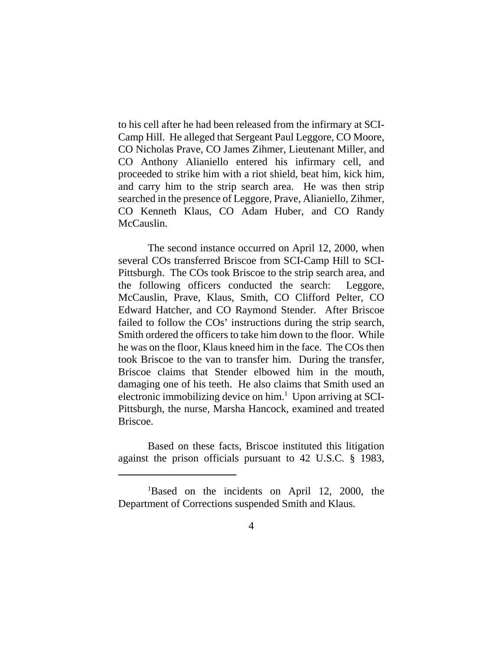to his cell after he had been released from the infirmary at SCI-Camp Hill. He alleged that Sergeant Paul Leggore, CO Moore, CO Nicholas Prave, CO James Zihmer, Lieutenant Miller, and CO Anthony Alianiello entered his infirmary cell, and proceeded to strike him with a riot shield, beat him, kick him, and carry him to the strip search area. He was then strip searched in the presence of Leggore, Prave, Alianiello, Zihmer, CO Kenneth Klaus, CO Adam Huber, and CO Randy McCauslin.

The second instance occurred on April 12, 2000, when several COs transferred Briscoe from SCI-Camp Hill to SCI-Pittsburgh. The COs took Briscoe to the strip search area, and the following officers conducted the search: Leggore, McCauslin, Prave, Klaus, Smith, CO Clifford Pelter, CO Edward Hatcher, and CO Raymond Stender. After Briscoe failed to follow the COs' instructions during the strip search, Smith ordered the officers to take him down to the floor. While he was on the floor, Klaus kneed him in the face. The COs then took Briscoe to the van to transfer him. During the transfer, Briscoe claims that Stender elbowed him in the mouth, damaging one of his teeth. He also claims that Smith used an electronic immobilizing device on him.<sup>1</sup> Upon arriving at SCI-Pittsburgh, the nurse, Marsha Hancock, examined and treated Briscoe.

Based on these facts, Briscoe instituted this litigation against the prison officials pursuant to 42 U.S.C. § 1983,

<sup>&</sup>lt;sup>1</sup>Based on the incidents on April 12, 2000, the Department of Corrections suspended Smith and Klaus.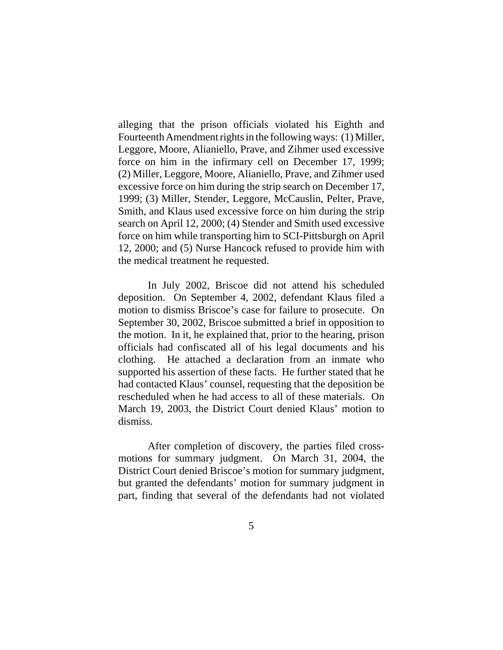alleging that the prison officials violated his Eighth and Fourteenth Amendment rights in the following ways: (1) Miller, Leggore, Moore, Alianiello, Prave, and Zihmer used excessive force on him in the infirmary cell on December 17, 1999; (2) Miller, Leggore, Moore, Alianiello, Prave, and Zihmer used excessive force on him during the strip search on December 17, 1999; (3) Miller, Stender, Leggore, McCauslin, Pelter, Prave, Smith, and Klaus used excessive force on him during the strip search on April 12, 2000; (4) Stender and Smith used excessive force on him while transporting him to SCI-Pittsburgh on April 12, 2000; and (5) Nurse Hancock refused to provide him with the medical treatment he requested.

In July 2002, Briscoe did not attend his scheduled deposition. On September 4, 2002, defendant Klaus filed a motion to dismiss Briscoe's case for failure to prosecute. On September 30, 2002, Briscoe submitted a brief in opposition to the motion. In it, he explained that, prior to the hearing, prison officials had confiscated all of his legal documents and his clothing. He attached a declaration from an inmate who supported his assertion of these facts. He further stated that he had contacted Klaus' counsel, requesting that the deposition be rescheduled when he had access to all of these materials. On March 19, 2003, the District Court denied Klaus' motion to dismiss.

After completion of discovery, the parties filed crossmotions for summary judgment. On March 31, 2004, the District Court denied Briscoe's motion for summary judgment, but granted the defendants' motion for summary judgment in part, finding that several of the defendants had not violated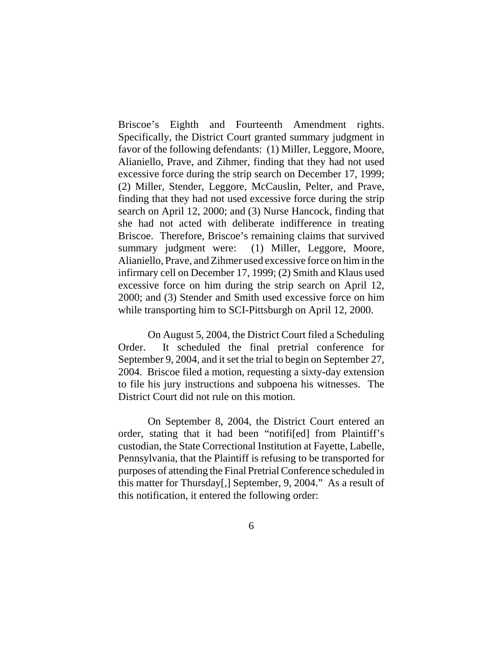Briscoe's Eighth and Fourteenth Amendment rights. Specifically, the District Court granted summary judgment in favor of the following defendants: (1) Miller, Leggore, Moore, Alianiello, Prave, and Zihmer, finding that they had not used excessive force during the strip search on December 17, 1999; (2) Miller, Stender, Leggore, McCauslin, Pelter, and Prave, finding that they had not used excessive force during the strip search on April 12, 2000; and (3) Nurse Hancock, finding that she had not acted with deliberate indifference in treating Briscoe. Therefore, Briscoe's remaining claims that survived summary judgment were: (1) Miller, Leggore, Moore, Alianiello, Prave, and Zihmer used excessive force on him in the infirmary cell on December 17, 1999; (2) Smith and Klaus used excessive force on him during the strip search on April 12, 2000; and (3) Stender and Smith used excessive force on him while transporting him to SCI-Pittsburgh on April 12, 2000.

On August 5, 2004, the District Court filed a Scheduling Order. It scheduled the final pretrial conference for September 9, 2004, and it set the trial to begin on September 27, 2004. Briscoe filed a motion, requesting a sixty-day extension to file his jury instructions and subpoena his witnesses. The District Court did not rule on this motion.

On September 8, 2004, the District Court entered an order, stating that it had been "notifi[ed] from Plaintiff's custodian, the State Correctional Institution at Fayette, Labelle, Pennsylvania, that the Plaintiff is refusing to be transported for purposes of attending the Final Pretrial Conference scheduled in this matter for Thursday[,] September, 9, 2004." As a result of this notification, it entered the following order: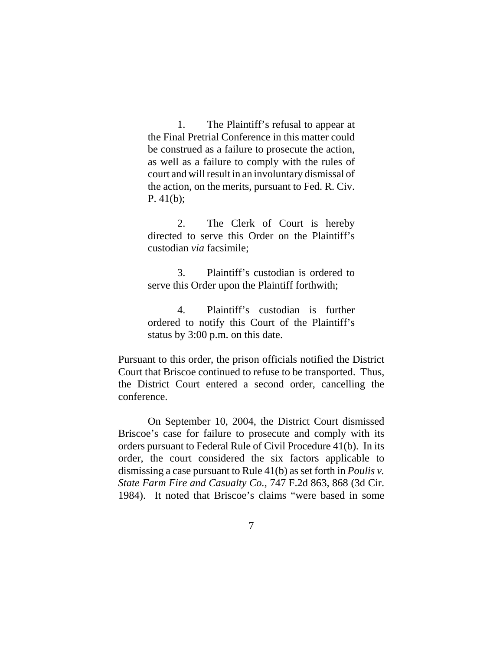1. The Plaintiff's refusal to appear at the Final Pretrial Conference in this matter could be construed as a failure to prosecute the action, as well as a failure to comply with the rules of court and will result in an involuntary dismissal of the action, on the merits, pursuant to Fed. R. Civ. P. 41(b);

2. The Clerk of Court is hereby directed to serve this Order on the Plaintiff's custodian *via* facsimile;

3. Plaintiff's custodian is ordered to serve this Order upon the Plaintiff forthwith;

4. Plaintiff's custodian is further ordered to notify this Court of the Plaintiff's status by 3:00 p.m. on this date.

Pursuant to this order, the prison officials notified the District Court that Briscoe continued to refuse to be transported. Thus, the District Court entered a second order, cancelling the conference.

On September 10, 2004, the District Court dismissed Briscoe's case for failure to prosecute and comply with its orders pursuant to Federal Rule of Civil Procedure 41(b). In its order, the court considered the six factors applicable to dismissing a case pursuant to Rule 41(b) as set forth in *Poulis v. State Farm Fire and Casualty Co.*, 747 F.2d 863, 868 (3d Cir. 1984). It noted that Briscoe's claims "were based in some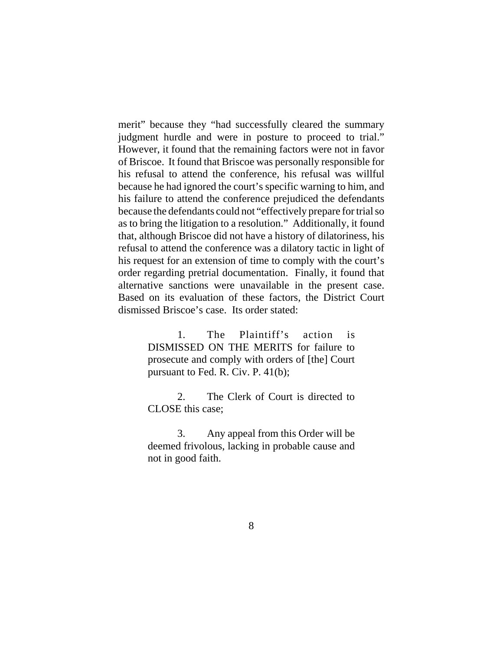merit" because they "had successfully cleared the summary judgment hurdle and were in posture to proceed to trial." However, it found that the remaining factors were not in favor of Briscoe. It found that Briscoe was personally responsible for his refusal to attend the conference, his refusal was willful because he had ignored the court's specific warning to him, and his failure to attend the conference prejudiced the defendants because the defendants could not "effectively prepare for trial so as to bring the litigation to a resolution." Additionally, it found that, although Briscoe did not have a history of dilatoriness, his refusal to attend the conference was a dilatory tactic in light of his request for an extension of time to comply with the court's order regarding pretrial documentation. Finally, it found that alternative sanctions were unavailable in the present case. Based on its evaluation of these factors, the District Court dismissed Briscoe's case. Its order stated:

> 1. The Plaintiff's action is DISMISSED ON THE MERITS for failure to prosecute and comply with orders of [the] Court pursuant to Fed. R. Civ. P. 41(b);

> 2. The Clerk of Court is directed to CLOSE this case;

> 3. Any appeal from this Order will be deemed frivolous, lacking in probable cause and not in good faith.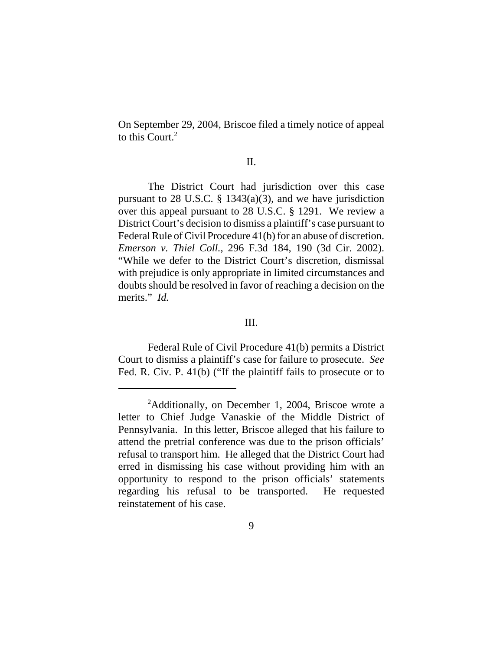On September 29, 2004, Briscoe filed a timely notice of appeal to this Court.<sup>2</sup>

#### II.

The District Court had jurisdiction over this case pursuant to 28 U.S.C.  $\S$  1343(a)(3), and we have jurisdiction over this appeal pursuant to 28 U.S.C. § 1291. We review a District Court's decision to dismiss a plaintiff's case pursuant to Federal Rule of Civil Procedure 41(b) for an abuse of discretion. *Emerson v. Thiel Coll.*, 296 F.3d 184, 190 (3d Cir. 2002). "While we defer to the District Court's discretion, dismissal with prejudice is only appropriate in limited circumstances and doubts should be resolved in favor of reaching a decision on the merits." *Id.*

### III.

Federal Rule of Civil Procedure 41(b) permits a District Court to dismiss a plaintiff's case for failure to prosecute. *See* Fed. R. Civ. P. 41(b) ("If the plaintiff fails to prosecute or to

<sup>&</sup>lt;sup>2</sup>Additionally, on December 1, 2004, Briscoe wrote a letter to Chief Judge Vanaskie of the Middle District of Pennsylvania. In this letter, Briscoe alleged that his failure to attend the pretrial conference was due to the prison officials' refusal to transport him. He alleged that the District Court had erred in dismissing his case without providing him with an opportunity to respond to the prison officials' statements regarding his refusal to be transported. He requested reinstatement of his case.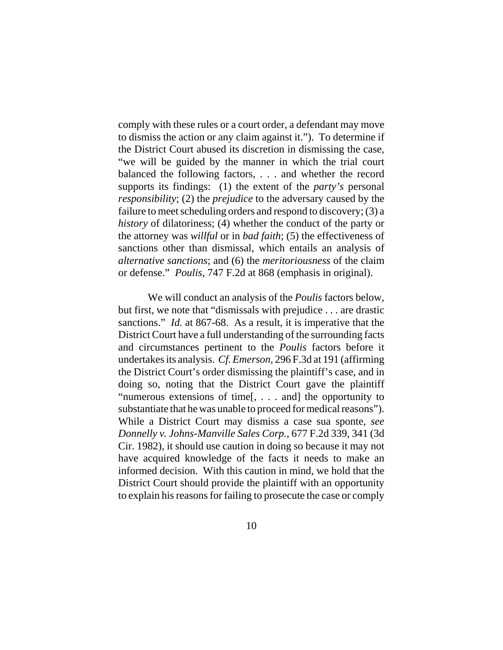comply with these rules or a court order, a defendant may move to dismiss the action or any claim against it."). To determine if the District Court abused its discretion in dismissing the case, "we will be guided by the manner in which the trial court balanced the following factors, . . . and whether the record supports its findings: (1) the extent of the *party's* personal *responsibility*; (2) the *prejudice* to the adversary caused by the failure to meet scheduling orders and respond to discovery; (3) a *history* of dilatoriness; (4) whether the conduct of the party or the attorney was *willful* or in *bad faith*; (5) the effectiveness of sanctions other than dismissal, which entails an analysis of *alternative sanctions*; and (6) the *meritoriousness* of the claim or defense." *Poulis*, 747 F.2d at 868 (emphasis in original).

We will conduct an analysis of the *Poulis* factors below, but first, we note that "dismissals with prejudice . . . are drastic sanctions." *Id.* at 867-68. As a result, it is imperative that the District Court have a full understanding of the surrounding facts and circumstances pertinent to the *Poulis* factors before it undertakes its analysis. *Cf. Emerson*, 296 F.3d at 191 (affirming the District Court's order dismissing the plaintiff's case, and in doing so, noting that the District Court gave the plaintiff "numerous extensions of time[, . . . and] the opportunity to substantiate that he was unable to proceed for medical reasons"). While a District Court may dismiss a case sua sponte, *see Donnelly v. Johns-Manville Sales Corp.*, 677 F.2d 339, 341 (3d Cir. 1982), it should use caution in doing so because it may not have acquired knowledge of the facts it needs to make an informed decision. With this caution in mind, we hold that the District Court should provide the plaintiff with an opportunity to explain his reasons for failing to prosecute the case or comply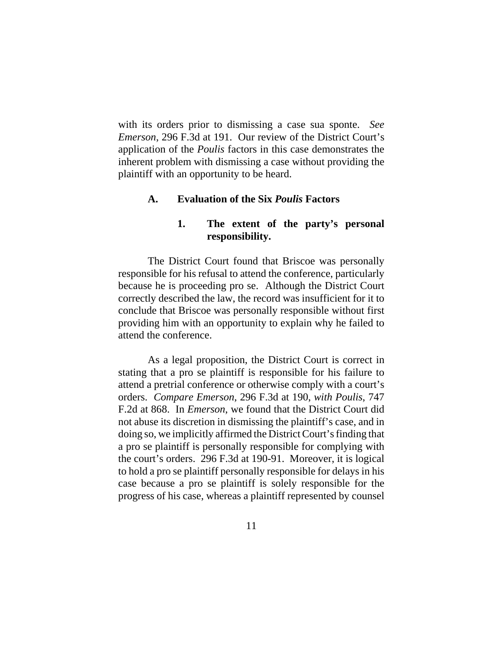with its orders prior to dismissing a case sua sponte. *See Emerson*, 296 F.3d at 191. Our review of the District Court's application of the *Poulis* factors in this case demonstrates the inherent problem with dismissing a case without providing the plaintiff with an opportunity to be heard.

### **A. Evaluation of the Six** *Poulis* **Factors**

### **1. The extent of the party's personal responsibility.**

The District Court found that Briscoe was personally responsible for his refusal to attend the conference, particularly because he is proceeding pro se. Although the District Court correctly described the law, the record was insufficient for it to conclude that Briscoe was personally responsible without first providing him with an opportunity to explain why he failed to attend the conference.

As a legal proposition, the District Court is correct in stating that a pro se plaintiff is responsible for his failure to attend a pretrial conference or otherwise comply with a court's orders. *Compare Emerson*, 296 F.3d at 190, *with Poulis*, 747 F.2d at 868. In *Emerson*, we found that the District Court did not abuse its discretion in dismissing the plaintiff's case, and in doing so, we implicitly affirmed the District Court's finding that a pro se plaintiff is personally responsible for complying with the court's orders. 296 F.3d at 190-91. Moreover, it is logical to hold a pro se plaintiff personally responsible for delays in his case because a pro se plaintiff is solely responsible for the progress of his case, whereas a plaintiff represented by counsel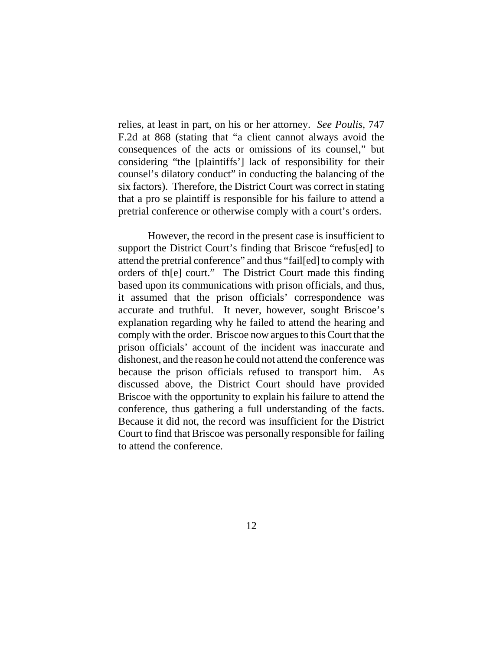relies, at least in part, on his or her attorney. *See Poulis*, 747 F.2d at 868 (stating that "a client cannot always avoid the consequences of the acts or omissions of its counsel," but considering "the [plaintiffs'] lack of responsibility for their counsel's dilatory conduct" in conducting the balancing of the six factors). Therefore, the District Court was correct in stating that a pro se plaintiff is responsible for his failure to attend a pretrial conference or otherwise comply with a court's orders.

However, the record in the present case is insufficient to support the District Court's finding that Briscoe "refus[ed] to attend the pretrial conference" and thus "fail[ed] to comply with orders of th[e] court." The District Court made this finding based upon its communications with prison officials, and thus, it assumed that the prison officials' correspondence was accurate and truthful. It never, however, sought Briscoe's explanation regarding why he failed to attend the hearing and comply with the order. Briscoe now argues to this Court that the prison officials' account of the incident was inaccurate and dishonest, and the reason he could not attend the conference was because the prison officials refused to transport him. As discussed above, the District Court should have provided Briscoe with the opportunity to explain his failure to attend the conference, thus gathering a full understanding of the facts. Because it did not, the record was insufficient for the District Court to find that Briscoe was personally responsible for failing to attend the conference.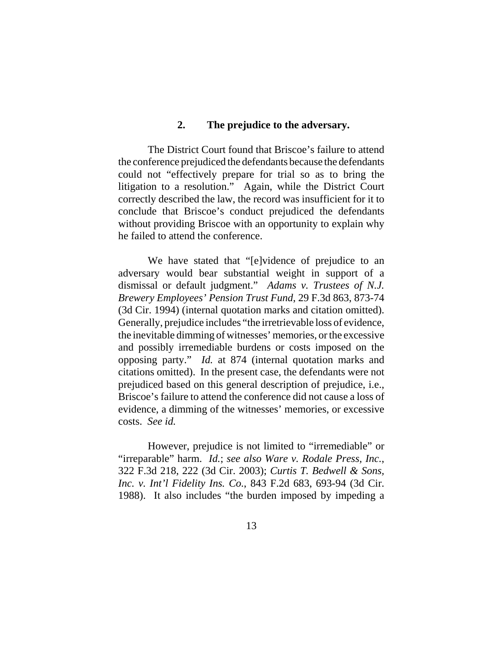### **2. The prejudice to the adversary.**

The District Court found that Briscoe's failure to attend the conference prejudiced the defendants because the defendants could not "effectively prepare for trial so as to bring the litigation to a resolution." Again, while the District Court correctly described the law, the record was insufficient for it to conclude that Briscoe's conduct prejudiced the defendants without providing Briscoe with an opportunity to explain why he failed to attend the conference.

We have stated that "[e]vidence of prejudice to an adversary would bear substantial weight in support of a dismissal or default judgment." *Adams v. Trustees of N.J. Brewery Employees' Pension Trust Fund*, 29 F.3d 863, 873-74 (3d Cir. 1994) (internal quotation marks and citation omitted). Generally, prejudice includes "the irretrievable loss of evidence, the inevitable dimming of witnesses' memories, or the excessive and possibly irremediable burdens or costs imposed on the opposing party." *Id.* at 874 (internal quotation marks and citations omitted). In the present case, the defendants were not prejudiced based on this general description of prejudice, i.e., Briscoe's failure to attend the conference did not cause a loss of evidence, a dimming of the witnesses' memories, or excessive costs. *See id.*

However, prejudice is not limited to "irremediable" or "irreparable" harm. *Id.*; *see also Ware v. Rodale Press, Inc.*, 322 F.3d 218, 222 (3d Cir. 2003); *Curtis T. Bedwell & Sons, Inc. v. Int'l Fidelity Ins. Co.*, 843 F.2d 683, 693-94 (3d Cir. 1988). It also includes "the burden imposed by impeding a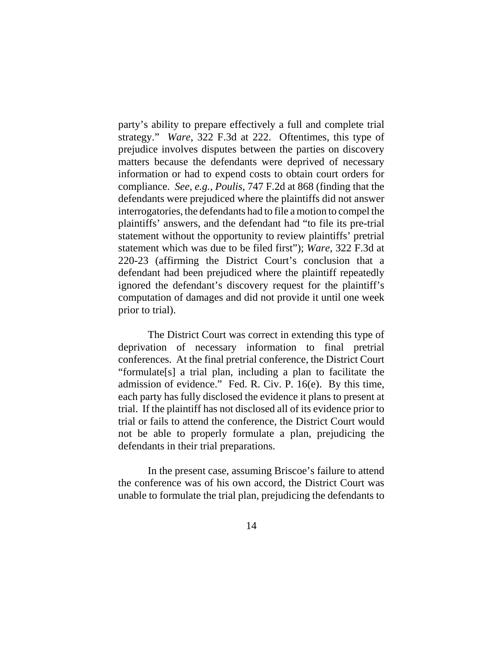party's ability to prepare effectively a full and complete trial strategy." *Ware*, 322 F.3d at 222. Oftentimes, this type of prejudice involves disputes between the parties on discovery matters because the defendants were deprived of necessary information or had to expend costs to obtain court orders for compliance. *See*, *e.g.*, *Poulis*, 747 F.2d at 868 (finding that the defendants were prejudiced where the plaintiffs did not answer interrogatories, the defendants had to file a motion to compel the plaintiffs' answers, and the defendant had "to file its pre-trial statement without the opportunity to review plaintiffs' pretrial statement which was due to be filed first"); *Ware*, 322 F.3d at 220-23 (affirming the District Court's conclusion that a defendant had been prejudiced where the plaintiff repeatedly ignored the defendant's discovery request for the plaintiff's computation of damages and did not provide it until one week prior to trial).

The District Court was correct in extending this type of deprivation of necessary information to final pretrial conferences. At the final pretrial conference, the District Court "formulate[s] a trial plan, including a plan to facilitate the admission of evidence." Fed. R. Civ. P. 16(e). By this time, each party has fully disclosed the evidence it plans to present at trial. If the plaintiff has not disclosed all of its evidence prior to trial or fails to attend the conference, the District Court would not be able to properly formulate a plan, prejudicing the defendants in their trial preparations.

In the present case, assuming Briscoe's failure to attend the conference was of his own accord, the District Court was unable to formulate the trial plan, prejudicing the defendants to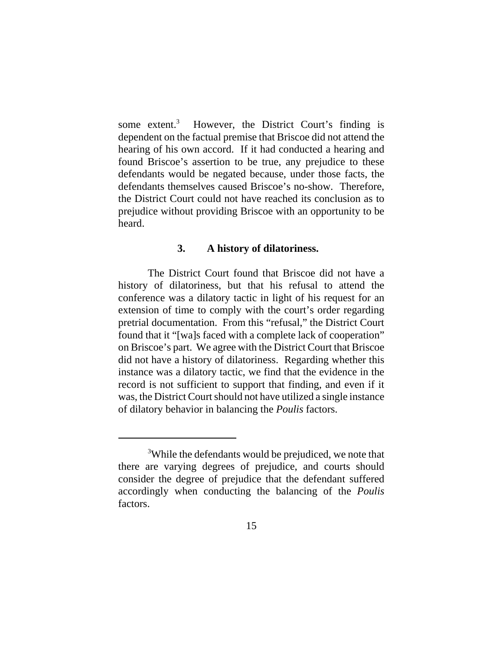some  $extent.<sup>3</sup>$  However, the District Court's finding is dependent on the factual premise that Briscoe did not attend the hearing of his own accord. If it had conducted a hearing and found Briscoe's assertion to be true, any prejudice to these defendants would be negated because, under those facts, the defendants themselves caused Briscoe's no-show. Therefore, the District Court could not have reached its conclusion as to prejudice without providing Briscoe with an opportunity to be heard.

### **3. A history of dilatoriness.**

The District Court found that Briscoe did not have a history of dilatoriness, but that his refusal to attend the conference was a dilatory tactic in light of his request for an extension of time to comply with the court's order regarding pretrial documentation. From this "refusal," the District Court found that it "[wa]s faced with a complete lack of cooperation" on Briscoe's part. We agree with the District Court that Briscoe did not have a history of dilatoriness. Regarding whether this instance was a dilatory tactic, we find that the evidence in the record is not sufficient to support that finding, and even if it was, the District Court should not have utilized a single instance of dilatory behavior in balancing the *Poulis* factors.

<sup>&</sup>lt;sup>3</sup>While the defendants would be prejudiced, we note that there are varying degrees of prejudice, and courts should consider the degree of prejudice that the defendant suffered accordingly when conducting the balancing of the *Poulis* factors.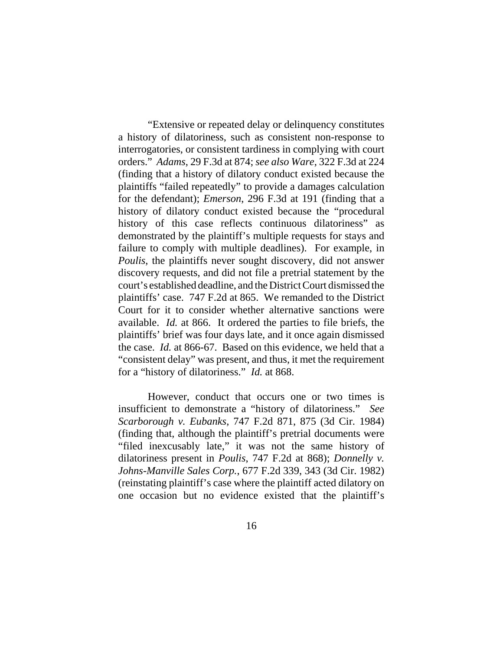"Extensive or repeated delay or delinquency constitutes a history of dilatoriness, such as consistent non-response to interrogatories, or consistent tardiness in complying with court orders." *Adams*, 29 F.3d at 874; *see also Ware*, 322 F.3d at 224 (finding that a history of dilatory conduct existed because the plaintiffs "failed repeatedly" to provide a damages calculation for the defendant); *Emerson*, 296 F.3d at 191 (finding that a history of dilatory conduct existed because the "procedural history of this case reflects continuous dilatoriness" as demonstrated by the plaintiff's multiple requests for stays and failure to comply with multiple deadlines). For example, in *Poulis*, the plaintiffs never sought discovery, did not answer discovery requests, and did not file a pretrial statement by the court's established deadline, and the District Court dismissed the plaintiffs' case. 747 F.2d at 865. We remanded to the District Court for it to consider whether alternative sanctions were available. *Id.* at 866. It ordered the parties to file briefs, the plaintiffs' brief was four days late, and it once again dismissed the case. *Id.* at 866-67. Based on this evidence, we held that a "consistent delay" was present, and thus, it met the requirement for a "history of dilatoriness." *Id.* at 868.

However, conduct that occurs one or two times is insufficient to demonstrate a "history of dilatoriness." *See Scarborough v. Eubanks*, 747 F.2d 871, 875 (3d Cir. 1984) (finding that, although the plaintiff's pretrial documents were "filed inexcusably late," it was not the same history of dilatoriness present in *Poulis*, 747 F.2d at 868); *Donnelly v. Johns-Manville Sales Corp.*, 677 F.2d 339, 343 (3d Cir. 1982) (reinstating plaintiff's case where the plaintiff acted dilatory on one occasion but no evidence existed that the plaintiff's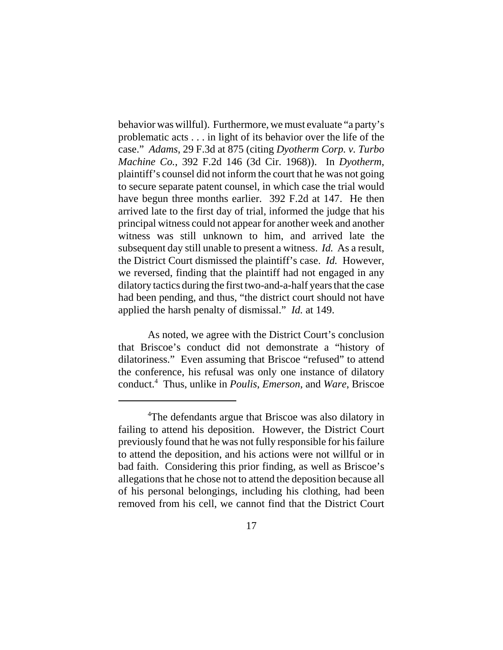behavior was willful). Furthermore, we must evaluate "a party's problematic acts . . . in light of its behavior over the life of the case." *Adams*, 29 F.3d at 875 (citing *Dyotherm Corp. v. Turbo Machine Co.*, 392 F.2d 146 (3d Cir. 1968)). In *Dyotherm*, plaintiff's counsel did not inform the court that he was not going to secure separate patent counsel, in which case the trial would have begun three months earlier. 392 F.2d at 147. He then arrived late to the first day of trial, informed the judge that his principal witness could not appear for another week and another witness was still unknown to him, and arrived late the subsequent day still unable to present a witness. *Id.* As a result, the District Court dismissed the plaintiff's case. *Id.* However, we reversed, finding that the plaintiff had not engaged in any dilatory tactics during the first two-and-a-half years that the case had been pending, and thus, "the district court should not have applied the harsh penalty of dismissal." *Id.* at 149.

As noted, we agree with the District Court's conclusion that Briscoe's conduct did not demonstrate a "history of dilatoriness." Even assuming that Briscoe "refused" to attend the conference, his refusal was only one instance of dilatory conduct.4 Thus, unlike in *Poulis*, *Emerson*, and *Ware*, Briscoe

<sup>&</sup>lt;sup>4</sup>The defendants argue that Briscoe was also dilatory in failing to attend his deposition. However, the District Court previously found that he was not fully responsible for his failure to attend the deposition, and his actions were not willful or in bad faith. Considering this prior finding, as well as Briscoe's allegations that he chose not to attend the deposition because all of his personal belongings, including his clothing, had been removed from his cell, we cannot find that the District Court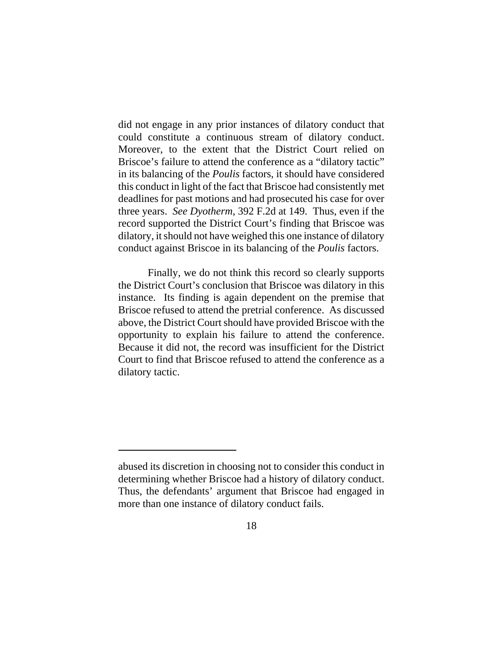did not engage in any prior instances of dilatory conduct that could constitute a continuous stream of dilatory conduct. Moreover, to the extent that the District Court relied on Briscoe's failure to attend the conference as a "dilatory tactic" in its balancing of the *Poulis* factors, it should have considered this conduct in light of the fact that Briscoe had consistently met deadlines for past motions and had prosecuted his case for over three years. *See Dyotherm*, 392 F.2d at 149. Thus, even if the record supported the District Court's finding that Briscoe was dilatory, it should not have weighed this one instance of dilatory conduct against Briscoe in its balancing of the *Poulis* factors.

Finally, we do not think this record so clearly supports the District Court's conclusion that Briscoe was dilatory in this instance. Its finding is again dependent on the premise that Briscoe refused to attend the pretrial conference. As discussed above, the District Court should have provided Briscoe with the opportunity to explain his failure to attend the conference. Because it did not, the record was insufficient for the District Court to find that Briscoe refused to attend the conference as a dilatory tactic.

abused its discretion in choosing not to consider this conduct in determining whether Briscoe had a history of dilatory conduct. Thus, the defendants' argument that Briscoe had engaged in more than one instance of dilatory conduct fails.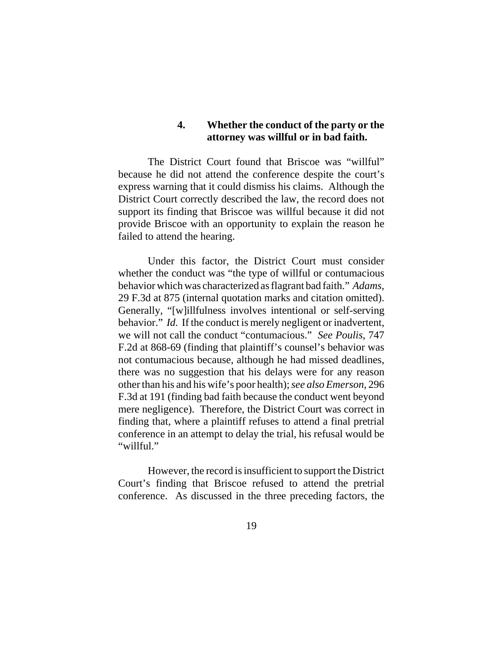### **4. Whether the conduct of the party or the attorney was willful or in bad faith.**

The District Court found that Briscoe was "willful" because he did not attend the conference despite the court's express warning that it could dismiss his claims. Although the District Court correctly described the law, the record does not support its finding that Briscoe was willful because it did not provide Briscoe with an opportunity to explain the reason he failed to attend the hearing.

Under this factor, the District Court must consider whether the conduct was "the type of willful or contumacious behavior which was characterized as flagrant bad faith." *Adams*, 29 F.3d at 875 (internal quotation marks and citation omitted). Generally, "[w]illfulness involves intentional or self-serving behavior." *Id.* If the conduct is merely negligent or inadvertent, we will not call the conduct "contumacious." *See Poulis*, 747 F.2d at 868-69 (finding that plaintiff's counsel's behavior was not contumacious because, although he had missed deadlines, there was no suggestion that his delays were for any reason other than his and his wife's poor health); *see also Emerson*, 296 F.3d at 191 (finding bad faith because the conduct went beyond mere negligence). Therefore, the District Court was correct in finding that, where a plaintiff refuses to attend a final pretrial conference in an attempt to delay the trial, his refusal would be "willful."

However, the record is insufficient to support the District Court's finding that Briscoe refused to attend the pretrial conference. As discussed in the three preceding factors, the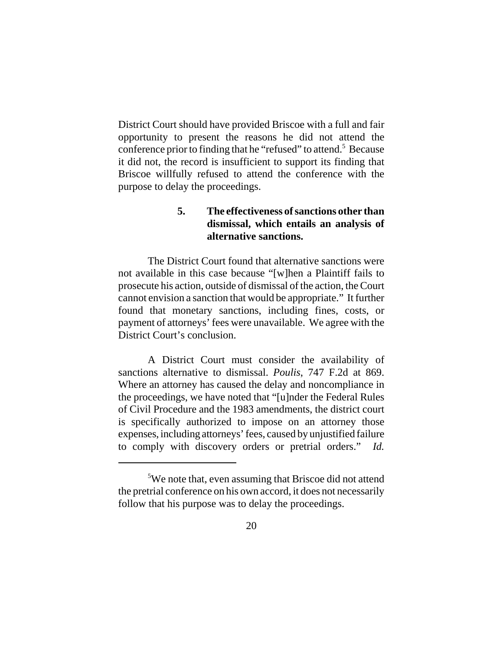District Court should have provided Briscoe with a full and fair opportunity to present the reasons he did not attend the conference prior to finding that he "refused" to attend.<sup>5</sup> Because it did not, the record is insufficient to support its finding that Briscoe willfully refused to attend the conference with the purpose to delay the proceedings.

# **5. The effectiveness of sanctions other than dismissal, which entails an analysis of alternative sanctions.**

The District Court found that alternative sanctions were not available in this case because "[w]hen a Plaintiff fails to prosecute his action, outside of dismissal of the action, the Court cannot envision a sanction that would be appropriate." It further found that monetary sanctions, including fines, costs, or payment of attorneys' fees were unavailable. We agree with the District Court's conclusion.

A District Court must consider the availability of sanctions alternative to dismissal. *Poulis*, 747 F.2d at 869. Where an attorney has caused the delay and noncompliance in the proceedings, we have noted that "[u]nder the Federal Rules of Civil Procedure and the 1983 amendments, the district court is specifically authorized to impose on an attorney those expenses, including attorneys' fees, caused by unjustified failure to comply with discovery orders or pretrial orders." *Id.*

<sup>&</sup>lt;sup>5</sup>We note that, even assuming that Briscoe did not attend the pretrial conference on his own accord, it does not necessarily follow that his purpose was to delay the proceedings.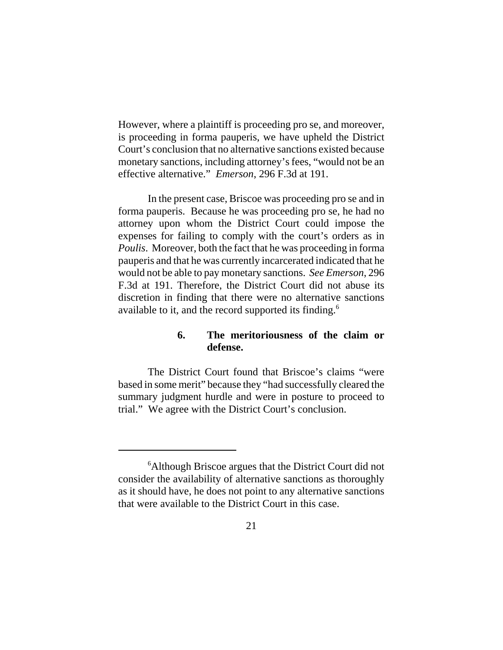However, where a plaintiff is proceeding pro se, and moreover, is proceeding in forma pauperis, we have upheld the District Court's conclusion that no alternative sanctions existed because monetary sanctions, including attorney's fees, "would not be an effective alternative." *Emerson*, 296 F.3d at 191.

In the present case, Briscoe was proceeding pro se and in forma pauperis. Because he was proceeding pro se, he had no attorney upon whom the District Court could impose the expenses for failing to comply with the court's orders as in *Poulis*. Moreover, both the fact that he was proceeding in forma pauperis and that he was currently incarcerated indicated that he would not be able to pay monetary sanctions. *See Emerson*, 296 F.3d at 191. Therefore, the District Court did not abuse its discretion in finding that there were no alternative sanctions available to it, and the record supported its finding.<sup>6</sup>

# **6. The meritoriousness of the claim or defense.**

The District Court found that Briscoe's claims "were based in some merit" because they "had successfully cleared the summary judgment hurdle and were in posture to proceed to trial." We agree with the District Court's conclusion.

<sup>&</sup>lt;sup>6</sup> Although Briscoe argues that the District Court did not consider the availability of alternative sanctions as thoroughly as it should have, he does not point to any alternative sanctions that were available to the District Court in this case.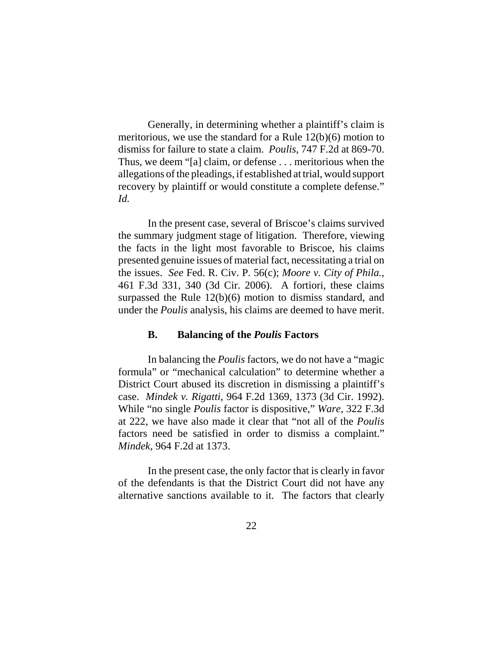Generally, in determining whether a plaintiff's claim is meritorious, we use the standard for a Rule 12(b)(6) motion to dismiss for failure to state a claim. *Poulis*, 747 F.2d at 869-70. Thus, we deem "[a] claim, or defense . . . meritorious when the allegations of the pleadings, if established at trial, would support recovery by plaintiff or would constitute a complete defense." *Id.*

In the present case, several of Briscoe's claims survived the summary judgment stage of litigation. Therefore, viewing the facts in the light most favorable to Briscoe, his claims presented genuine issues of material fact, necessitating a trial on the issues. *See* Fed. R. Civ. P. 56(c); *Moore v. City of Phila.*, 461 F.3d 331, 340 (3d Cir. 2006). A fortiori, these claims surpassed the Rule 12(b)(6) motion to dismiss standard, and under the *Poulis* analysis, his claims are deemed to have merit.

### **B. Balancing of the** *Poulis* **Factors**

In balancing the *Poulis* factors, we do not have a "magic formula" or "mechanical calculation" to determine whether a District Court abused its discretion in dismissing a plaintiff's case. *Mindek v. Rigatti*, 964 F.2d 1369, 1373 (3d Cir. 1992). While "no single *Poulis* factor is dispositive," *Ware*, 322 F.3d at 222, we have also made it clear that "not all of the *Poulis* factors need be satisfied in order to dismiss a complaint." *Mindek*, 964 F.2d at 1373.

In the present case, the only factor that is clearly in favor of the defendants is that the District Court did not have any alternative sanctions available to it. The factors that clearly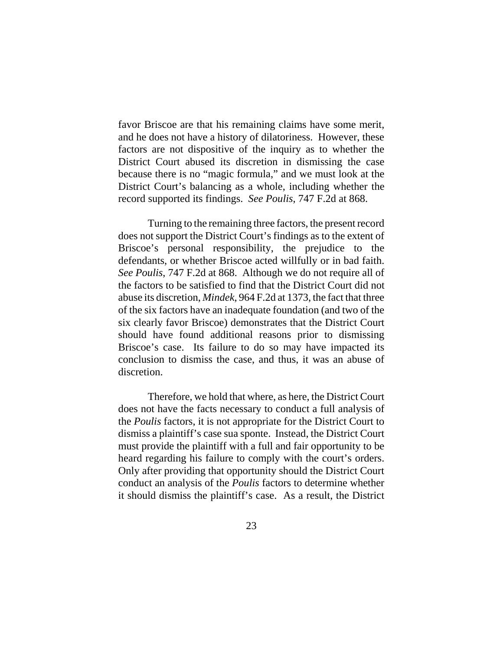favor Briscoe are that his remaining claims have some merit, and he does not have a history of dilatoriness. However, these factors are not dispositive of the inquiry as to whether the District Court abused its discretion in dismissing the case because there is no "magic formula," and we must look at the District Court's balancing as a whole, including whether the record supported its findings. *See Poulis*, 747 F.2d at 868.

Turning to the remaining three factors, the present record does not support the District Court's findings as to the extent of Briscoe's personal responsibility, the prejudice to the defendants, or whether Briscoe acted willfully or in bad faith. *See Poulis*, 747 F.2d at 868. Although we do not require all of the factors to be satisfied to find that the District Court did not abuse its discretion, *Mindek*, 964 F.2d at 1373, the fact that three of the six factors have an inadequate foundation (and two of the six clearly favor Briscoe) demonstrates that the District Court should have found additional reasons prior to dismissing Briscoe's case. Its failure to do so may have impacted its conclusion to dismiss the case, and thus, it was an abuse of discretion.

Therefore, we hold that where, as here, the District Court does not have the facts necessary to conduct a full analysis of the *Poulis* factors, it is not appropriate for the District Court to dismiss a plaintiff's case sua sponte. Instead, the District Court must provide the plaintiff with a full and fair opportunity to be heard regarding his failure to comply with the court's orders. Only after providing that opportunity should the District Court conduct an analysis of the *Poulis* factors to determine whether it should dismiss the plaintiff's case. As a result, the District